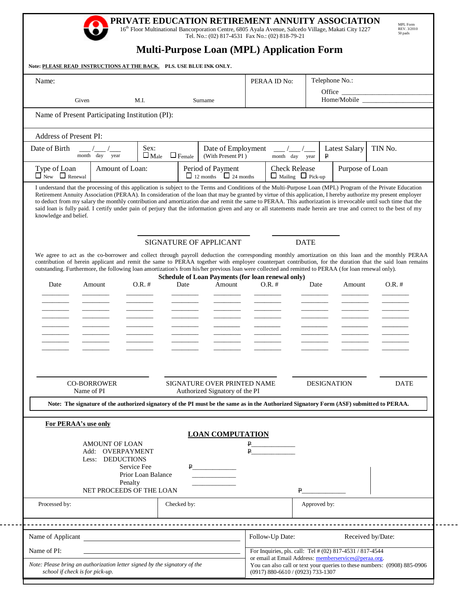# **PRIVATE EDUCATION RETIREMENT ANNUITY ASSOCIATION** 16<sup>th</sup> Floor Multinational Bancorporation Centre, 6805 Ayala Avenue, Salcedo Village, Makati City 1227

Tel. No.: (02) 817-4531 Fax No.: (02) 818-79-21

MPL Form REV. 3/2010 50 pads

┑

# **Multi-Purpose Loan (MPL) Application Form**

| Name:                                                                                                                                                                         |                                                      |                     |                                                        |                                                                             |                                         | PERAA ID No:                                          |              | Telephone No.:                                           |                                                                                                                                                                                                                                                                                                                 |
|-------------------------------------------------------------------------------------------------------------------------------------------------------------------------------|------------------------------------------------------|---------------------|--------------------------------------------------------|-----------------------------------------------------------------------------|-----------------------------------------|-------------------------------------------------------|--------------|----------------------------------------------------------|-----------------------------------------------------------------------------------------------------------------------------------------------------------------------------------------------------------------------------------------------------------------------------------------------------------------|
|                                                                                                                                                                               |                                                      |                     |                                                        |                                                                             |                                         |                                                       |              |                                                          | Office $\frac{1}{\sqrt{1-\frac{1}{2}}\left(1-\frac{1}{2}\right)}$                                                                                                                                                                                                                                               |
| Given                                                                                                                                                                         |                                                      | M.I.                |                                                        | Surname                                                                     |                                         |                                                       |              |                                                          | Home/Mobile                                                                                                                                                                                                                                                                                                     |
| Name of Present Participating Institution (PI):                                                                                                                               |                                                      |                     |                                                        |                                                                             |                                         |                                                       |              |                                                          |                                                                                                                                                                                                                                                                                                                 |
| Address of Present PI:                                                                                                                                                        |                                                      |                     |                                                        |                                                                             |                                         |                                                       |              |                                                          |                                                                                                                                                                                                                                                                                                                 |
| Date of Birth<br>month day year                                                                                                                                               |                                                      | Sex:<br>$\Box$ Male | $\Box$ Female                                          |                                                                             | Date of Employment<br>(With Present PI) | month day year                                        |              | <b>Latest Salary</b><br>₽                                | TIN No.                                                                                                                                                                                                                                                                                                         |
| Type of Loan<br>$\prod_{\text{New}}$ $\prod_{\text{Renewal}}$                                                                                                                 | Amount of Loan:                                      |                     | Period of Payment<br>$\Box$ 12 months $\Box$ 24 months |                                                                             |                                         | <b>Check Release</b><br>$\Box$ Mailing $\Box$ Pick-up |              | Purpose of Loan                                          |                                                                                                                                                                                                                                                                                                                 |
| knowledge and belief.<br>outstanding. Furthermore, the following loan amortization's from his/her previous loan were collected and remitted to PERAA (for loan renewal only). |                                                      |                     |                                                        | SIGNATURE OF APPLICANT<br>Schedule of Loan Payments (for loan renewal only) |                                         |                                                       | <b>DATE</b>  |                                                          | We agree to act as the co-borrower and collect through payroll deduction the corresponding monthly amortization on this loan and the monthly PERAA<br>contribution of herein applicant and remit the same to PERAA together with employer counterpart contribution, for the duration that the said loan remains |
| Date                                                                                                                                                                          | Amount                                               | $O.R.$ #            | Date                                                   | Amount                                                                      |                                         | $O.R.$ #                                              | Date         | Amount                                                   | $O.R.$ #                                                                                                                                                                                                                                                                                                        |
|                                                                                                                                                                               |                                                      |                     |                                                        |                                                                             |                                         |                                                       |              |                                                          |                                                                                                                                                                                                                                                                                                                 |
|                                                                                                                                                                               |                                                      |                     |                                                        |                                                                             |                                         |                                                       |              |                                                          |                                                                                                                                                                                                                                                                                                                 |
|                                                                                                                                                                               |                                                      |                     |                                                        |                                                                             |                                         |                                                       |              |                                                          |                                                                                                                                                                                                                                                                                                                 |
|                                                                                                                                                                               |                                                      |                     |                                                        |                                                                             |                                         |                                                       |              |                                                          |                                                                                                                                                                                                                                                                                                                 |
|                                                                                                                                                                               |                                                      |                     |                                                        |                                                                             |                                         |                                                       |              |                                                          |                                                                                                                                                                                                                                                                                                                 |
|                                                                                                                                                                               |                                                      |                     |                                                        |                                                                             |                                         |                                                       |              |                                                          |                                                                                                                                                                                                                                                                                                                 |
|                                                                                                                                                                               |                                                      |                     |                                                        |                                                                             |                                         |                                                       |              |                                                          |                                                                                                                                                                                                                                                                                                                 |
|                                                                                                                                                                               | <b>CO-BORROWER</b>                                   |                     |                                                        | SIGNATURE OVER PRINTED NAME                                                 |                                         |                                                       |              | <b>DESIGNATION</b>                                       | <b>DATE</b>                                                                                                                                                                                                                                                                                                     |
|                                                                                                                                                                               | Name of PI                                           |                     |                                                        | Authorized Signatory of the PI                                              |                                         |                                                       |              |                                                          |                                                                                                                                                                                                                                                                                                                 |
|                                                                                                                                                                               |                                                      |                     |                                                        |                                                                             |                                         |                                                       |              |                                                          | Note: The signature of the authorized signatory of the PI must be the same as in the Authorized Signatory Form (ASF) submitted to PERAA.                                                                                                                                                                        |
|                                                                                                                                                                               |                                                      |                     |                                                        |                                                                             |                                         |                                                       |              |                                                          |                                                                                                                                                                                                                                                                                                                 |
|                                                                                                                                                                               |                                                      |                     |                                                        |                                                                             |                                         |                                                       |              |                                                          |                                                                                                                                                                                                                                                                                                                 |
| For PERAA's use only                                                                                                                                                          |                                                      |                     |                                                        | <b>LOAN COMPUTATION</b>                                                     |                                         |                                                       |              |                                                          |                                                                                                                                                                                                                                                                                                                 |
|                                                                                                                                                                               | AMOUNT OF LOAN                                       |                     |                                                        |                                                                             |                                         |                                                       |              |                                                          |                                                                                                                                                                                                                                                                                                                 |
|                                                                                                                                                                               | Add: OVERPAYMENT                                     |                     |                                                        |                                                                             |                                         |                                                       |              |                                                          |                                                                                                                                                                                                                                                                                                                 |
|                                                                                                                                                                               | Less: DEDUCTIONS                                     | Service Fee         |                                                        | $P \sim$                                                                    |                                         |                                                       |              |                                                          |                                                                                                                                                                                                                                                                                                                 |
|                                                                                                                                                                               |                                                      | Prior Loan Balance  |                                                        |                                                                             |                                         |                                                       |              |                                                          |                                                                                                                                                                                                                                                                                                                 |
|                                                                                                                                                                               | Penalty<br>NET PROCEEDS OF THE LOAN                  |                     |                                                        |                                                                             |                                         |                                                       | $P_{-}$      |                                                          |                                                                                                                                                                                                                                                                                                                 |
| Processed by:                                                                                                                                                                 |                                                      |                     | Checked by:                                            |                                                                             |                                         |                                                       | Approved by: |                                                          |                                                                                                                                                                                                                                                                                                                 |
|                                                                                                                                                                               |                                                      |                     |                                                        |                                                                             |                                         |                                                       |              |                                                          |                                                                                                                                                                                                                                                                                                                 |
| Name of Applicant                                                                                                                                                             | <u> 1989 - Johann Barbara, martin a bhaile an t-</u> |                     |                                                        |                                                                             |                                         | Follow-Up Date:                                       |              |                                                          | Received by/Date:                                                                                                                                                                                                                                                                                               |
| Name of PI:                                                                                                                                                                   |                                                      |                     |                                                        |                                                                             |                                         |                                                       |              | For Inquiries, pls. call: Tel # (02) 817-4531 / 817-4544 |                                                                                                                                                                                                                                                                                                                 |